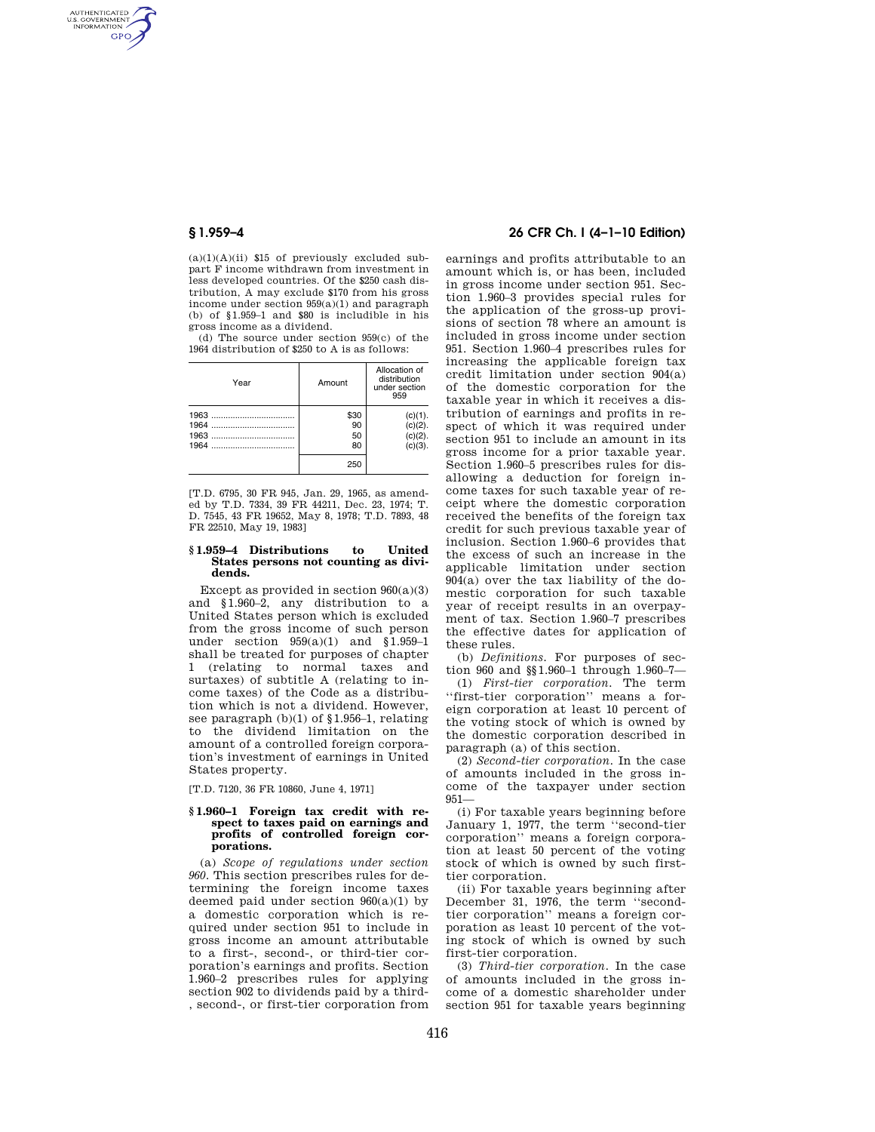AUTHENTICATED<br>U.S. GOVERNMENT<br>INFORMATION **GPO** 

> $(a)(1)(A)(ii)$  \$15 of previously excluded subpart F income withdrawn from investment in less developed countries. Of the \$250 cash distribution, A may exclude \$170 from his gross income under section 959(a)(1) and paragraph (b) of §1.959–1 and \$80 is includible in his gross income as a dividend.

> (d) The source under section 959(c) of the 1964 distribution of \$250 to A is as follows:

| Year                 | Amount                 | Allocation of<br>distribution<br>under section<br>959 |
|----------------------|------------------------|-------------------------------------------------------|
| 1964<br>1963<br>1964 | \$30<br>90<br>50<br>80 | (c)(1).<br>$(c)(2)$ .<br>$(c)(2)$ .<br>$(c)(3)$ .     |
|                      | 250                    |                                                       |

[T.D. 6795, 30 FR 945, Jan. 29, 1965, as amended by T.D. 7334, 39 FR 44211, Dec. 23, 1974; T. D. 7545, 43 FR 19652, May 8, 1978; T.D. 7893, 48 FR 22510, May 19, 1983]

#### **§ 1.959–4 Distributions to United States persons not counting as dividends.**

Except as provided in section  $960(a)(3)$ and §1.960–2, any distribution to a United States person which is excluded from the gross income of such person under section 959(a)(1) and §1.959–1 shall be treated for purposes of chapter 1 (relating to normal taxes and surtaxes) of subtitle A (relating to income taxes) of the Code as a distribution which is not a dividend. However, see paragraph (b)(1) of §1.956–1, relating to the dividend limitation on the amount of a controlled foreign corporation's investment of earnings in United States property.

[T.D. 7120, 36 FR 10860, June 4, 1971]

### **§ 1.960–1 Foreign tax credit with respect to taxes paid on earnings and profits of controlled foreign corporations.**

(a) *Scope of regulations under section 960.* This section prescribes rules for determining the foreign income taxes deemed paid under section  $960(a)(1)$  by a domestic corporation which is required under section 951 to include in gross income an amount attributable to a first-, second-, or third-tier corporation's earnings and profits. Section 1.960–2 prescribes rules for applying section 902 to dividends paid by a third- , second-, or first-tier corporation from

## **§ 1.959–4 26 CFR Ch. I (4–1–10 Edition)**

earnings and profits attributable to an amount which is, or has been, included in gross income under section 951. Section 1.960–3 provides special rules for the application of the gross-up provisions of section 78 where an amount is included in gross income under section 951. Section 1.960–4 prescribes rules for increasing the applicable foreign tax credit limitation under section 904(a) of the domestic corporation for the taxable year in which it receives a distribution of earnings and profits in respect of which it was required under section 951 to include an amount in its gross income for a prior taxable year. Section 1.960–5 prescribes rules for disallowing a deduction for foreign income taxes for such taxable year of receipt where the domestic corporation received the benefits of the foreign tax credit for such previous taxable year of inclusion. Section 1.960–6 provides that the excess of such an increase in the applicable limitation under section 904(a) over the tax liability of the domestic corporation for such taxable year of receipt results in an overpayment of tax. Section 1.960–7 prescribes the effective dates for application of these rules.

(b) *Definitions.* For purposes of section 960 and §§1.960–1 through 1.960–7—

(1) *First-tier corporation.* The term ''first-tier corporation'' means a foreign corporation at least 10 percent of the voting stock of which is owned by the domestic corporation described in paragraph (a) of this section.

(2) *Second-tier corporation.* In the case of amounts included in the gross income of the taxpayer under section 951—

(i) For taxable years beginning before January 1, 1977, the term ''second-tier corporation'' means a foreign corporation at least 50 percent of the voting stock of which is owned by such firsttier corporation.

(ii) For taxable years beginning after December 31, 1976, the term ''secondtier corporation'' means a foreign corporation as least 10 percent of the voting stock of which is owned by such first-tier corporation.

(3) *Third-tier corporation.* In the case of amounts included in the gross income of a domestic shareholder under section 951 for taxable years beginning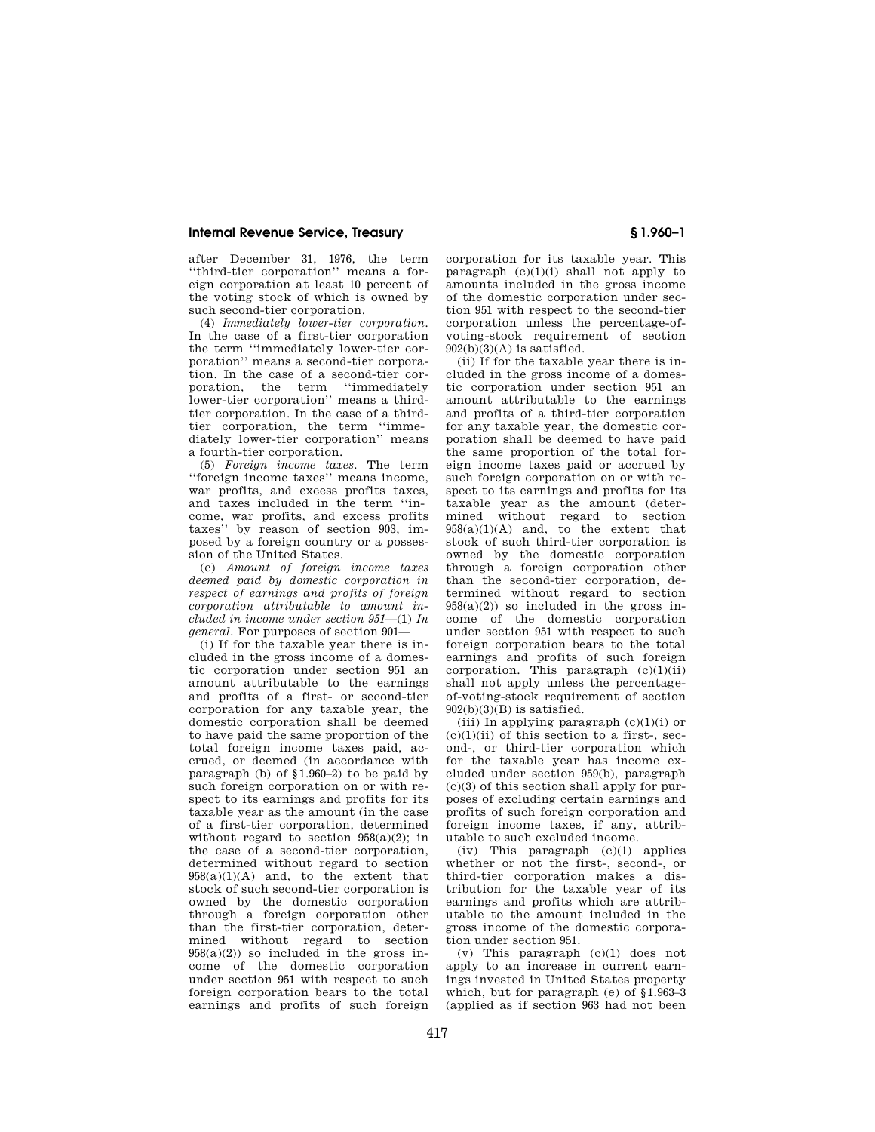after December 31, 1976, the term ''third-tier corporation'' means a foreign corporation at least 10 percent of the voting stock of which is owned by such second-tier corporation.

(4) *Immediately lower-tier corporation.*  In the case of a first-tier corporation the term ''immediately lower-tier corporation'' means a second-tier corporation. In the case of a second-tier corporation, the term ''immediately lower-tier corporation'' means a thirdtier corporation. In the case of a thirdtier corporation, the term ''immediately lower-tier corporation'' means a fourth-tier corporation.

(5) *Foreign income taxes.* The term ''foreign income taxes'' means income, war profits, and excess profits taxes, and taxes included in the term ''income, war profits, and excess profits<br>taxes'' by reason of section 903 imby reason of section 903, imposed by a foreign country or a possession of the United States.

(c) *Amount of foreign income taxes deemed paid by domestic corporation in respect of earnings and profits of foreign corporation attributable to amount included in income under section 951*—(1) *In general.* For purposes of section 901—

(i) If for the taxable year there is included in the gross income of a domestic corporation under section 951 an amount attributable to the earnings and profits of a first- or second-tier corporation for any taxable year, the domestic corporation shall be deemed to have paid the same proportion of the total foreign income taxes paid, accrued, or deemed (in accordance with paragraph (b) of §1.960–2) to be paid by such foreign corporation on or with respect to its earnings and profits for its taxable year as the amount (in the case of a first-tier corporation, determined without regard to section  $958(a)(2)$ ; in the case of a second-tier corporation, determined without regard to section  $958(a)(1)(A)$  and, to the extent that stock of such second-tier corporation is owned by the domestic corporation through a foreign corporation other than the first-tier corporation, determined without regard to section  $958(a)(2)$  so included in the gross income of the domestic corporation under section 951 with respect to such foreign corporation bears to the total earnings and profits of such foreign

corporation for its taxable year. This paragraph  $(c)(1)(i)$  shall not apply to amounts included in the gross income of the domestic corporation under section 951 with respect to the second-tier corporation unless the percentage-ofvoting-stock requirement of section  $902(b)(3)(A)$  is satisfied.

(ii) If for the taxable year there is included in the gross income of a domestic corporation under section 951 an amount attributable to the earnings and profits of a third-tier corporation for any taxable year, the domestic corporation shall be deemed to have paid the same proportion of the total foreign income taxes paid or accrued by such foreign corporation on or with respect to its earnings and profits for its taxable year as the amount (determined without regard to section  $958(a)(1)(A)$  and, to the extent that stock of such third-tier corporation is owned by the domestic corporation through a foreign corporation other than the second-tier corporation, determined without regard to section  $958(a)(2)$  so included in the gross income of the domestic corporation under section 951 with respect to such foreign corporation bears to the total earnings and profits of such foreign corporation. This paragraph  $(c)(1)(ii)$ shall not apply unless the percentageof-voting-stock requirement of section  $902(b)(3)(B)$  is satisfied.

(iii) In applying paragraph  $(c)(1)(i)$  or  $(c)(1)(ii)$  of this section to a first-, second-, or third-tier corporation which for the taxable year has income excluded under section 959(b), paragraph  $(c)(3)$  of this section shall apply for purposes of excluding certain earnings and profits of such foreign corporation and foreign income taxes, if any, attributable to such excluded income.

(iv) This paragraph (c)(1) applies whether or not the first-, second-, or third-tier corporation makes a distribution for the taxable year of its earnings and profits which are attributable to the amount included in the gross income of the domestic corporation under section 951.

(v) This paragraph (c)(1) does not apply to an increase in current earnings invested in United States property which, but for paragraph (e) of §1.963–3 (applied as if section 963 had not been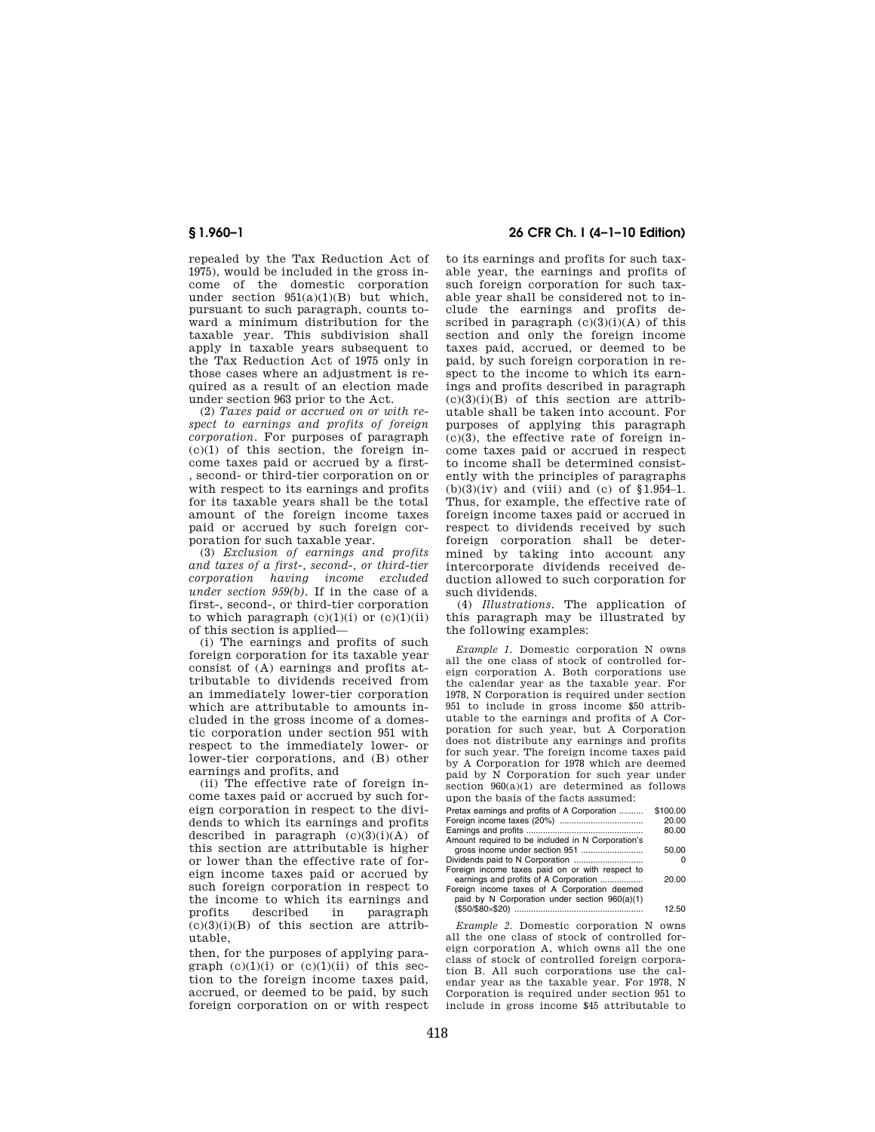repealed by the Tax Reduction Act of 1975), would be included in the gross income of the domestic corporation under section  $951(a)(1)(B)$  but which, pursuant to such paragraph, counts toward a minimum distribution for the taxable year. This subdivision shall apply in taxable years subsequent to the Tax Reduction Act of 1975 only in those cases where an adjustment is required as a result of an election made under section 963 prior to the Act.

(2) *Taxes paid or accrued on or with respect to earnings and profits of foreign corporation.* For purposes of paragraph  $(c)(1)$  of this section, the foreign income taxes paid or accrued by a first- , second- or third-tier corporation on or with respect to its earnings and profits for its taxable years shall be the total amount of the foreign income taxes paid or accrued by such foreign corporation for such taxable year.

(3) *Exclusion of earnings and profits and taxes of a first-, second-, or third-tier corporation having income excluded under section 959(b).* If in the case of a first-, second-, or third-tier corporation to which paragraph  $(c)(1)(i)$  or  $(c)(1)(ii)$ of this section is applied—

(i) The earnings and profits of such foreign corporation for its taxable year consist of (A) earnings and profits attributable to dividends received from an immediately lower-tier corporation which are attributable to amounts included in the gross income of a domestic corporation under section 951 with respect to the immediately lower- or lower-tier corporations, and (B) other earnings and profits, and

(ii) The effective rate of foreign income taxes paid or accrued by such foreign corporation in respect to the dividends to which its earnings and profits described in paragraph  $(c)(3)(i)(A)$  of this section are attributable is higher or lower than the effective rate of foreign income taxes paid or accrued by such foreign corporation in respect to the income to which its earnings and profits described in paragraph  $(c)(3)(i)(B)$  of this section are attributable,

then, for the purposes of applying paragraph  $(c)(1)(i)$  or  $(c)(1)(ii)$  of this section to the foreign income taxes paid, accrued, or deemed to be paid, by such foreign corporation on or with respect

**§ 1.960–1 26 CFR Ch. I (4–1–10 Edition)** 

to its earnings and profits for such taxable year, the earnings and profits of such foreign corporation for such taxable year shall be considered not to include the earnings and profits described in paragraph  $(c)(3)(i)(A)$  of this section and only the foreign income taxes paid, accrued, or deemed to be paid, by such foreign corporation in respect to the income to which its earnings and profits described in paragraph  $(c)(3)(i)(B)$  of this section are attributable shall be taken into account. For purposes of applying this paragraph  $(c)(3)$ , the effective rate of foreign income taxes paid or accrued in respect to income shall be determined consistently with the principles of paragraphs  $(b)(3)(iv)$  and (viii) and (c) of §1.954–1. Thus, for example, the effective rate of foreign income taxes paid or accrued in respect to dividends received by such foreign corporation shall be determined by taking into account any intercorporate dividends received deduction allowed to such corporation for such dividends.

(4) *Illustrations.* The application of this paragraph may be illustrated by the following examples:

*Example 1.* Domestic corporation N owns all the one class of stock of controlled foreign corporation A. Both corporations use the calendar year as the taxable year. For 1978, N Corporation is required under section 951 to include in gross income \$50 attributable to the earnings and profits of A Corporation for such year, but A Corporation does not distribute any earnings and profits for such year. The foreign income taxes paid by A Corporation for 1978 which are deemed paid by N Corporation for such year under section  $960(a)(1)$  are determined as follows upon the basis of the facts assumed:

| Pretax earnings and profits of A Corporation      | \$100.00 |
|---------------------------------------------------|----------|
|                                                   | 20.00    |
|                                                   | 80.00    |
| Amount required to be included in N Corporation's |          |
| gross income under section 951                    | 50.00    |
|                                                   |          |
| Foreign income taxes paid on or with respect to   |          |
| earnings and profits of A Corporation             | 20.00    |
| Foreign income taxes of A Corporation deemed      |          |
| paid by N Corporation under section 960(a)(1)     |          |
|                                                   | 12.50    |

*Example 2.* Domestic corporation N owns all the one class of stock of controlled foreign corporation A, which owns all the one class of stock of controlled foreign corporation B. All such corporations use the calendar year as the taxable year. For 1978, N Corporation is required under section 951 to include in gross income \$45 attributable to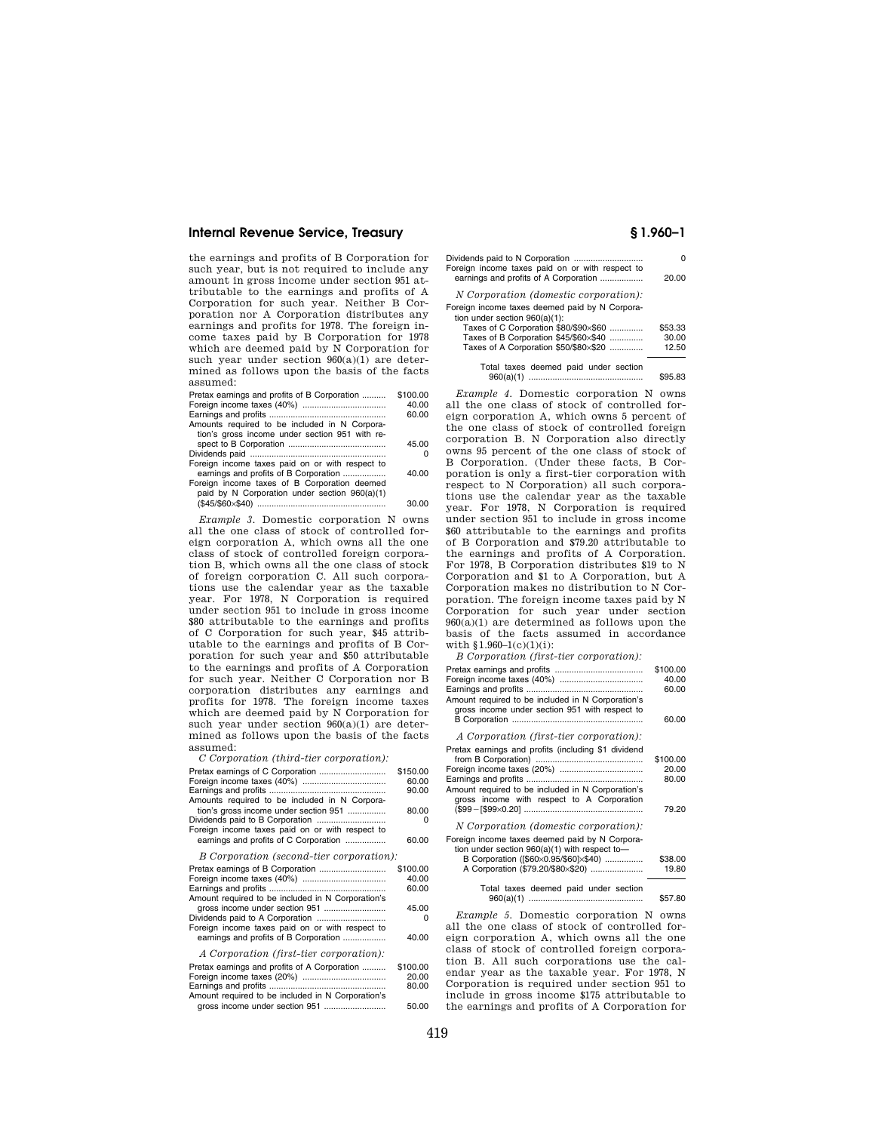the earnings and profits of B Corporation for such year, but is not required to include any amount in gross income under section 951 attributable to the earnings and profits of A Corporation for such year. Neither B Corporation nor A Corporation distributes any earnings and profits for 1978. The foreign income taxes paid by B Corporation for 1978 which are deemed paid by N Corporation for such year under section  $960(a)(1)$  are determined as follows upon the basis of the facts assumed:

| Pretax earnings and profits of B Corporation    | \$100.00 |
|-------------------------------------------------|----------|
|                                                 | 40.00    |
|                                                 | 60.00    |
| Amounts required to be included in N Corpora-   |          |
| tion's gross income under section 951 with re-  |          |
|                                                 | 45.00    |
|                                                 | O        |
| Foreign income taxes paid on or with respect to |          |
| earnings and profits of B Corporation           | 40.00    |
| Foreign income taxes of B Corporation deemed    |          |
| paid by N Corporation under section 960(a)(1)   |          |
|                                                 | 30.00    |

*Example 3.* Domestic corporation N owns all the one class of stock of controlled foreign corporation A, which owns all the one class of stock of controlled foreign corporation B, which owns all the one class of stock of foreign corporation C. All such corporations use the calendar year as the taxable year. For 1978, N Corporation is required under section 951 to include in gross income \$80 attributable to the earnings and profits of C Corporation for such year, \$45 attributable to the earnings and profits of B Corporation for such year and \$50 attributable to the earnings and profits of A Corporation for such year. Neither C Corporation nor B corporation distributes any earnings and profits for 1978. The foreign income taxes which are deemed paid by N Corporation for such year under section  $960(a)(1)$  are determined as follows upon the basis of the facts assumed:

| C Corporation (third-tier corporation): |  |
|-----------------------------------------|--|
|                                         |  |

|                                                                          | \$150.00<br>60.00 |
|--------------------------------------------------------------------------|-------------------|
| Amounts required to be included in N Corpora-                            | 90.00             |
| tion's gross income under section 951<br>Dividends paid to B Corporation | 80.00<br>n        |
| Foreign income taxes paid on or with respect to                          |                   |
| earnings and profits of C Corporation                                    | 60.00             |
| B Corporation (second-tier corporation):                                 |                   |
| Pretax earnings of B Corporation                                         | \$100.00          |
|                                                                          | 40.00             |
|                                                                          | 60.00             |
| Amount required to be included in N Corporation's                        |                   |
|                                                                          | 45.00             |
|                                                                          | n                 |
| Foreign income taxes paid on or with respect to                          |                   |
| earnings and profits of B Corporation                                    | 40.00             |
| A Corporation (first-tier corporation):                                  |                   |
| Pretax earnings and profits of A Corporation                             | \$100.00          |
|                                                                          | 20.00             |
|                                                                          | 80.00             |

|                                                   | <b></b> |
|---------------------------------------------------|---------|
| Amount required to be included in N Corporation's |         |
|                                                   | 50.00   |

| Foreign income taxes paid on or with respect to                                    |         |
|------------------------------------------------------------------------------------|---------|
| earnings and profits of A Corporation                                              | 20.00   |
| <i>N</i> Corporation (domestic corporation):                                       |         |
| Foreign income taxes deemed paid by N Corpora-<br>tion under section $960(a)(1)$ : |         |
| Taxes of C Corporation \$80/\$90×\$60                                              | \$53.33 |
| Taxes of B Corporation \$45/\$60×\$40                                              | 30.00   |
| Taxes of A Corporation \$50/\$80×\$20                                              | 12.50   |
| Total taxes deemed paid under section                                              |         |
|                                                                                    | \$95.83 |

*Example 4.* Domestic corporation N owns all the one class of stock of controlled foreign corporation A, which owns 5 percent of the one class of stock of controlled foreign corporation B. N Corporation also directly owns 95 percent of the one class of stock of B Corporation. (Under these facts, B Corporation is only a first-tier corporation with respect to N Corporation) all such corporations use the calendar year as the taxable year. For 1978, N Corporation is required under section 951 to include in gross income \$60 attributable to the earnings and profits of B Corporation and \$79.20 attributable to the earnings and profits of A Corporation. For 1978, B Corporation distributes \$19 to N Corporation and \$1 to A Corporation, but A Corporation makes no distribution to N Corporation. The foreign income taxes paid by N Corporation for such year under section 960(a)(1) are determined as follows upon the basis of the facts assumed in accordance with  $$1.960-1(c)(1)(i):$ 

*B Corporation (first-tier corporation):*  Pretax earnings and profits ..................................... \$100.00 Foreign income taxes (40%) ................................... 40.00 Earnings and profits ....... Amount required to be included in N Corporation's gross income under section 951 with respect to B Corporation ....................................................... 60.00 *A Corporation (first-tier corporation):*  Pretax earnings and profits (including \$1 dividend from B Corporation) ............................................. \$100.00 Foreign income taxes (20%) ................................... 20.00 Earnings and profits ................................................. 80.00 Amount required to be included in N Corporation's gross income with respect to A Corporation (\$99¥[\$99×0.20] .................................................. 79.20 *N Corporation (domestic corporation):*  Foreign income taxes deemed paid by N Corporation under section 960(a)(1) with respect to— B Corporation ([\$60×0.95/\$60]×\$40) ................ \$38.00 A Corporation (\$79.20/\$80×\$20) ... Total taxes deemed paid under section

960(a)(1) ................................................ \$57.80

*Example 5.* Domestic corporation N owns all the one class of stock of controlled foreign corporation A, which owns all the one class of stock of controlled foreign corporation B. All such corporations use the calendar year as the taxable year. For 1978, N Corporation is required under section 951 to include in gross income \$175 attributable to the earnings and profits of A Corporation for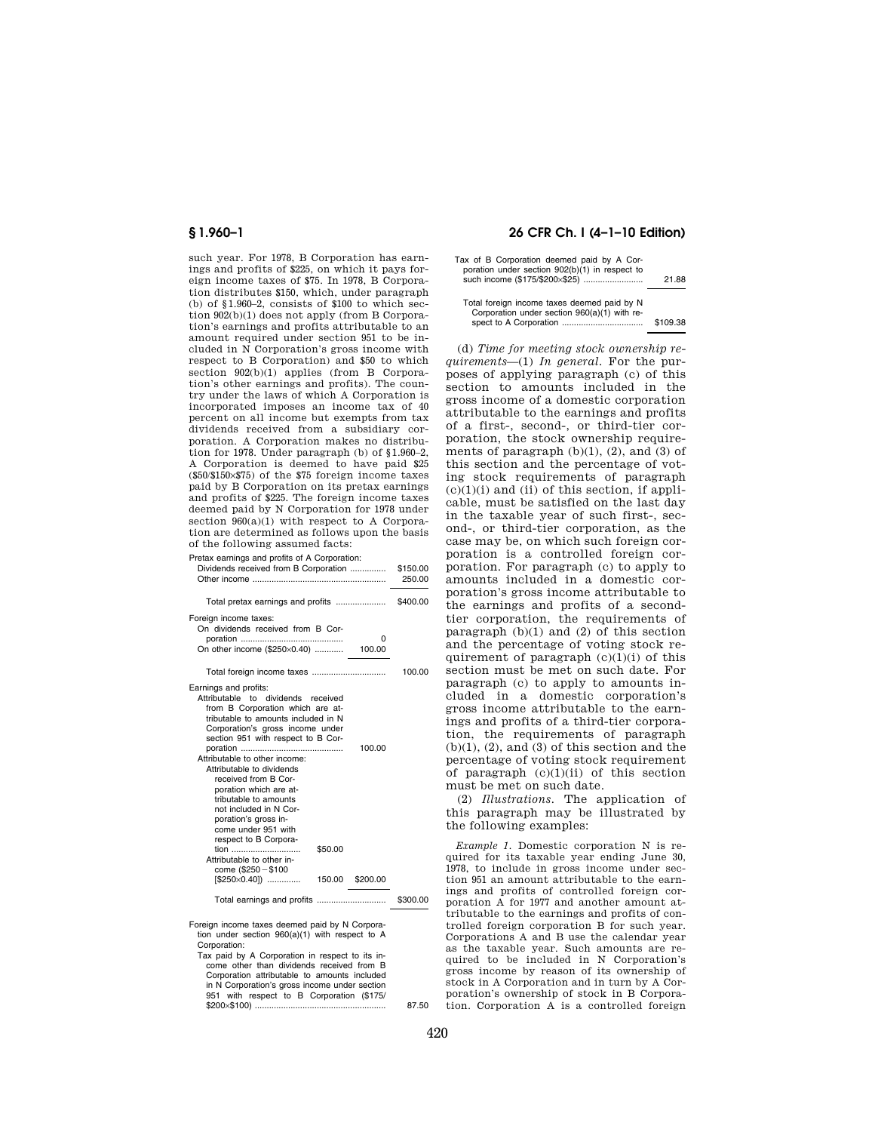such year. For 1978, B Corporation has earnings and profits of \$225, on which it pays foreign income taxes of \$75. In 1978, B Corporation distributes \$150, which, under paragraph (b) of  $$1.960-2$ , consists of \$100 to which section 902(b)(1) does not apply (from B Corporation's earnings and profits attributable to an amount required under section 951 to be included in N Corporation's gross income with respect to B Corporation) and \$50 to which section 902(b)(1) applies (from B Corporation's other earnings and profits). The country under the laws of which A Corporation is incorporated imposes an income tax of 40 percent on all income but exempts from tax dividends received from a subsidiary corporation. A Corporation makes no distribution for 1978. Under paragraph (b) of §1.960–2, A Corporation is deemed to have paid \$25 (\$50/\$150×\$75) of the \$75 foreign income taxes paid by B Corporation on its pretax earnings and profits of \$225. The foreign income taxes deemed paid by N Corporation for 1978 under section  $960(a)(1)$  with respect to A Corporation are determined as follows upon the basis of the following assumed facts:

|  |  |  | Pretax earnings and profits of A Corporation: |  |
|--|--|--|-----------------------------------------------|--|

| Ford A carringle and promoter A corporation.<br>Dividends received from B Corporation                                                                                                                                                                                                                                                                                                                                                                                                    | \$150.00<br>250.00 |
|------------------------------------------------------------------------------------------------------------------------------------------------------------------------------------------------------------------------------------------------------------------------------------------------------------------------------------------------------------------------------------------------------------------------------------------------------------------------------------------|--------------------|
| Total pretax earnings and profits                                                                                                                                                                                                                                                                                                                                                                                                                                                        | \$400.00           |
| Foreign income taxes:<br>On dividends received from B Cor-<br>O                                                                                                                                                                                                                                                                                                                                                                                                                          |                    |
|                                                                                                                                                                                                                                                                                                                                                                                                                                                                                          | 100.00             |
| Earnings and profits:<br>Attributable to dividends received<br>from B Corporation which are at-<br>tributable to amounts included in N<br>Corporation's gross income under<br>section 951 with respect to B Cor-<br>100.00<br>Attributable to other income:<br>Attributable to dividends<br>received from B Cor-<br>poration which are at-<br>tributable to amounts<br>not included in N Cor-<br>poration's gross in-<br>come under 951 with<br>respect to B Corpora-<br>tion<br>\$50.00 |                    |
| Attributable to other in-<br>come (\$250 - \$100<br>$[$250\times0.40]$<br>150.00<br>\$200.00                                                                                                                                                                                                                                                                                                                                                                                             |                    |
|                                                                                                                                                                                                                                                                                                                                                                                                                                                                                          | \$300.00           |
|                                                                                                                                                                                                                                                                                                                                                                                                                                                                                          |                    |

Foreign income taxes deemed paid by N Corporation under section 960(a)(1) with respect to A Corporation:

Tax paid by A Corporation in respect to its income other than dividends received from B Corporation attributable to amounts included in N Corporation's gross income under section 951 with respect to B Corporation (\$175/ \$200×\$100) ....................................................... 87.50

## **§ 1.960–1 26 CFR Ch. I (4–1–10 Edition)**

| Tax of B Corporation deemed paid by A Cor-     |       |
|------------------------------------------------|-------|
| poration under section 902(b)(1) in respect to |       |
| such income (\$175/\$200×\$25)                 | 21.88 |

Total foreign income taxes deemed paid by N Corporation under section 960(a)(1) with respect to A Corporation .................................. \$109.38

(d) *Time for meeting stock ownership requirements*—(1) *In general.* For the purposes of applying paragraph (c) of this section to amounts included in the gross income of a domestic corporation attributable to the earnings and profits of a first-, second-, or third-tier corporation, the stock ownership requirements of paragraph  $(b)(1)$ ,  $(2)$ , and  $(3)$  of this section and the percentage of voting stock requirements of paragraph  $(c)(1)(i)$  and (ii) of this section, if applicable, must be satisfied on the last day in the taxable year of such first-, second-, or third-tier corporation, as the case may be, on which such foreign corporation is a controlled foreign corporation. For paragraph (c) to apply to amounts included in a domestic corporation's gross income attributable to the earnings and profits of a secondtier corporation, the requirements of paragraph  $(b)(1)$  and  $(2)$  of this section and the percentage of voting stock requirement of paragraph  $(c)(1)(i)$  of this section must be met on such date. For paragraph (c) to apply to amounts included in a domestic corporation's gross income attributable to the earnings and profits of a third-tier corporation, the requirements of paragraph  $(b)(1)$ ,  $(2)$ , and  $(3)$  of this section and the percentage of voting stock requirement of paragraph  $(c)(1)(ii)$  of this section must be met on such date.

(2) *Illustrations.* The application of this paragraph may be illustrated by the following examples:

*Example 1.* Domestic corporation N is required for its taxable year ending June 30, 1978, to include in gross income under section 951 an amount attributable to the earnings and profits of controlled foreign corporation A for 1977 and another amount attributable to the earnings and profits of controlled foreign corporation B for such year. Corporations A and B use the calendar year as the taxable year. Such amounts are required to be included in N Corporation's gross income by reason of its ownership of stock in A Corporation and in turn by A Corporation's ownership of stock in B Corporation. Corporation A is a controlled foreign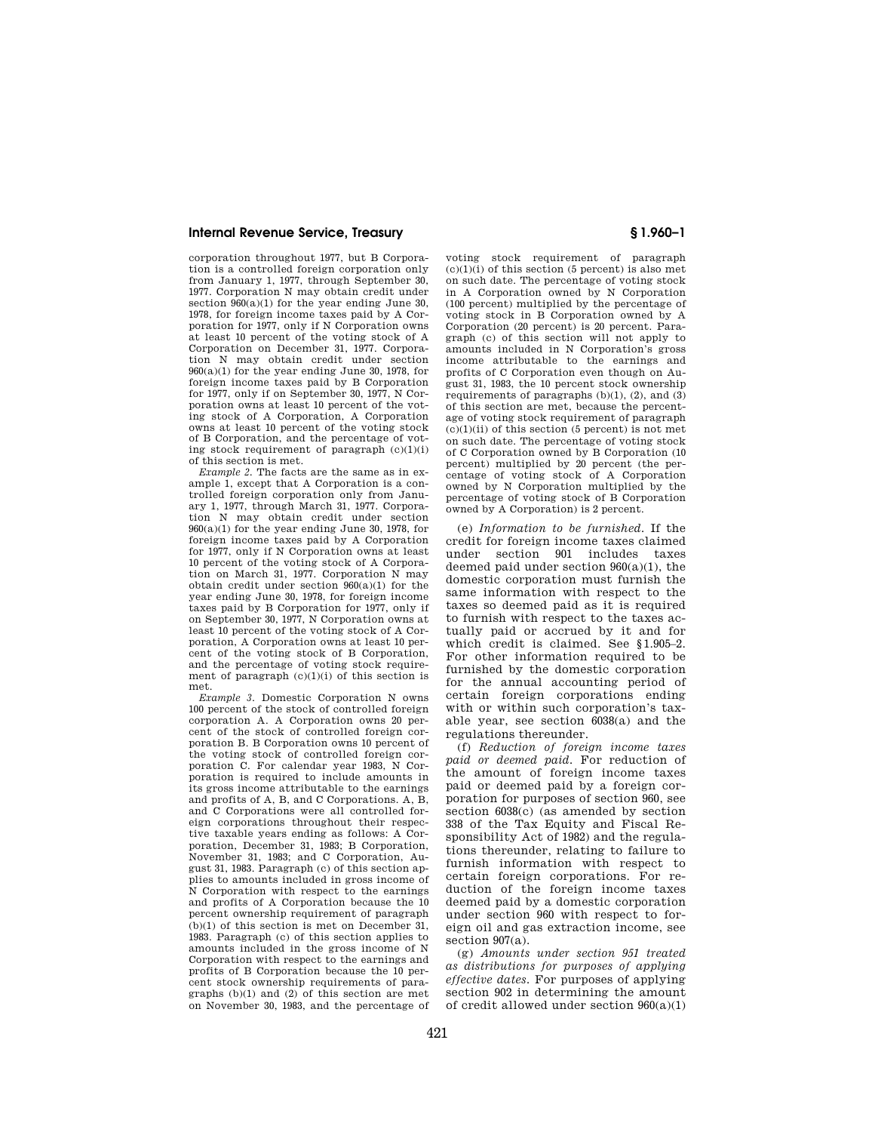corporation throughout 1977, but B Corporation is a controlled foreign corporation only from January 1, 1977, through September 30, 1977. Corporation N may obtain credit under section  $960(a)(1)$  for the year ending June 30, 1978, for foreign income taxes paid by A Corporation for 1977, only if N Corporation owns at least 10 percent of the voting stock of A Corporation on December 31, 1977. Corporation N may obtain credit under section  $960(a)(1)$  for the year ending June 30, 1978, for foreign income taxes paid by B Corporation for 1977, only if on September 30, 1977, N Corporation owns at least 10 percent of the voting stock of A Corporation, A Corporation owns at least 10 percent of the voting stock of B Corporation, and the percentage of voting stock requirement of paragraph  $(c)(1)(i)$ of this section is met.

*Example 2.* The facts are the same as in example 1, except that A Corporation is a controlled foreign corporation only from January 1, 1977, through March 31, 1977. Corporation N may obtain credit under section 960(a)(1) for the year ending June 30, 1978, for foreign income taxes paid by A Corporation for 1977, only if N Corporation owns at least 10 percent of the voting stock of A Corporation on March 31, 1977. Corporation N may obtain credit under section  $960(a)(1)$  for the year ending June 30, 1978, for foreign income taxes paid by B Corporation for 1977, only if on September 30, 1977, N Corporation owns at least 10 percent of the voting stock of A Corporation, A Corporation owns at least 10 percent of the voting stock of B Corporation, and the percentage of voting stock requirement of paragraph  $(c)(1)(i)$  of this section is met.

*Example 3.* Domestic Corporation N owns 100 percent of the stock of controlled foreign corporation A. A Corporation owns 20 percent of the stock of controlled foreign corporation B. B Corporation owns 10 percent of the voting stock of controlled foreign corporation C. For calendar year 1983, N Corporation is required to include amounts in its gross income attributable to the earnings and profits of A, B, and C Corporations. A, B, and C Corporations were all controlled foreign corporations throughout their respective taxable years ending as follows: A Corporation, December 31, 1983; B Corporation, November 31, 1983; and C Corporation, August 31, 1983. Paragraph (c) of this section applies to amounts included in gross income of N Corporation with respect to the earnings and profits of A Corporation because the 10 percent ownership requirement of paragraph (b)(1) of this section is met on December 31, 1983. Paragraph (c) of this section applies to amounts included in the gross income of N Corporation with respect to the earnings and profits of B Corporation because the 10 percent stock ownership requirements of paragraphs (b)(1) and (2) of this section are met on November 30, 1983, and the percentage of

voting stock requirement of paragraph  $(c)(1)(i)$  of this section (5 percent) is also met on such date. The percentage of voting stock in A Corporation owned by N Corporation (100 percent) multiplied by the percentage of voting stock in B Corporation owned by A Corporation (20 percent) is 20 percent. Paragraph (c) of this section will not apply to amounts included in N Corporation's gross income attributable to the earnings and profits of C Corporation even though on August 31, 1983, the 10 percent stock ownership requirements of paragraphs (b)(1), (2), and (3) of this section are met, because the percentage of voting stock requirement of paragraph  $(c)(1)(ii)$  of this section  $(5$  percent) is not met on such date. The percentage of voting stock of C Corporation owned by B Corporation (10 percent) multiplied by 20 percent (the percentage of voting stock of A Corporation owned by N Corporation multiplied by the percentage of voting stock of B Corporation owned by A Corporation) is 2 percent.

(e) *Information to be furnished.* If the credit for foreign income taxes claimed under section 901 includes taxes deemed paid under section 960(a)(1), the domestic corporation must furnish the same information with respect to the taxes so deemed paid as it is required to furnish with respect to the taxes actually paid or accrued by it and for which credit is claimed. See §1.905–2. For other information required to be furnished by the domestic corporation for the annual accounting period of certain foreign corporations ending with or within such corporation's taxable year, see section 6038(a) and the regulations thereunder.

(f) *Reduction of foreign income taxes paid or deemed paid.* For reduction of the amount of foreign income taxes paid or deemed paid by a foreign corporation for purposes of section 960, see section 6038(c) (as amended by section 338 of the Tax Equity and Fiscal Responsibility Act of 1982) and the regulations thereunder, relating to failure to furnish information with respect to certain foreign corporations. For reduction of the foreign income taxes deemed paid by a domestic corporation under section 960 with respect to foreign oil and gas extraction income, see section 907(a).

(g) *Amounts under section 951 treated as distributions for purposes of applying effective dates.* For purposes of applying section 902 in determining the amount of credit allowed under section 960(a)(1)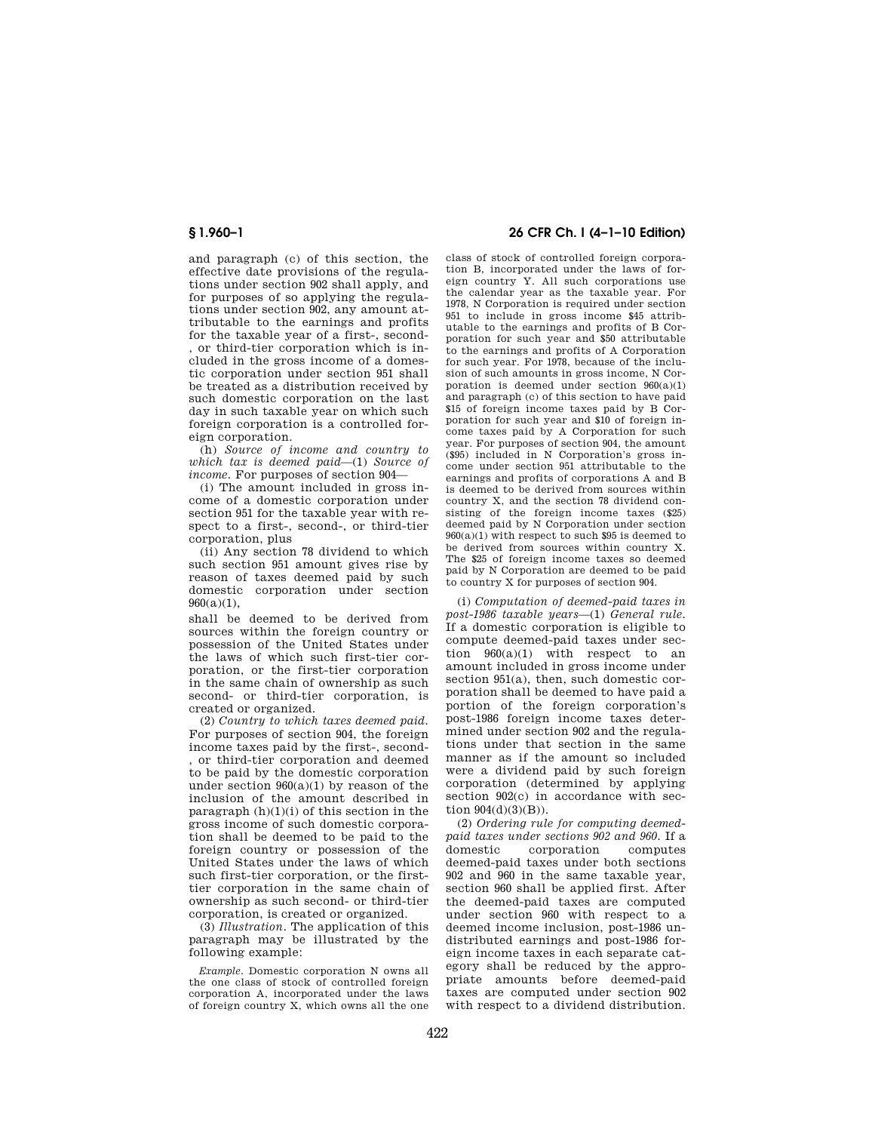and paragraph (c) of this section, the effective date provisions of the regulations under section 902 shall apply, and for purposes of so applying the regulations under section 902, any amount attributable to the earnings and profits for the taxable year of a first-, second- , or third-tier corporation which is included in the gross income of a domestic corporation under section 951 shall be treated as a distribution received by such domestic corporation on the last day in such taxable year on which such foreign corporation is a controlled foreign corporation.

(h) *Source of income and country to which tax is deemed paid*—(1) *Source of income.* For purposes of section 904—

(i) The amount included in gross income of a domestic corporation under section 951 for the taxable year with respect to a first-, second-, or third-tier corporation, plus

(ii) Any section 78 dividend to which such section 951 amount gives rise by reason of taxes deemed paid by such domestic corporation under section  $960(a)(1)$ ,

shall be deemed to be derived from sources within the foreign country or possession of the United States under the laws of which such first-tier corporation, or the first-tier corporation in the same chain of ownership as such second- or third-tier corporation, is created or organized.

(2) *Country to which taxes deemed paid.*  For purposes of section 904, the foreign income taxes paid by the first-, second- , or third-tier corporation and deemed to be paid by the domestic corporation under section 960(a)(1) by reason of the inclusion of the amount described in paragraph  $(h)(1)(i)$  of this section in the gross income of such domestic corporation shall be deemed to be paid to the foreign country or possession of the United States under the laws of which such first-tier corporation, or the firsttier corporation in the same chain of ownership as such second- or third-tier corporation, is created or organized.

(3) *Illustration.* The application of this paragraph may be illustrated by the following example:

# **§ 1.960–1 26 CFR Ch. I (4–1–10 Edition)**

class of stock of controlled foreign corporation B, incorporated under the laws of foreign country Y. All such corporations use the calendar year as the taxable year. For 1978, N Corporation is required under section 951 to include in gross income \$45 attributable to the earnings and profits of B Corporation for such year and \$50 attributable to the earnings and profits of A Corporation for such year. For 1978, because of the inclusion of such amounts in gross income, N Corporation is deemed under section  $960(a)(1)$ and paragraph (c) of this section to have paid \$15 of foreign income taxes paid by B Corporation for such year and \$10 of foreign income taxes paid by A Corporation for such year. For purposes of section 904, the amount (\$95) included in N Corporation's gross income under section 951 attributable to the earnings and profits of corporations A and B is deemed to be derived from sources within country X, and the section 78 dividend consisting of the foreign income taxes (\$25) deemed paid by N Corporation under section  $960(a)(1)$  with respect to such \$95 is deemed to be derived from sources within country X. The \$25 of foreign income taxes so deemed paid by N Corporation are deemed to be paid to country X for purposes of section 904.

(i) *Computation of deemed-paid taxes in post-1986 taxable years*—(1) *General rule.*  If a domestic corporation is eligible to compute deemed-paid taxes under section  $960(a)(1)$  with respect to an amount included in gross income under section 951(a), then, such domestic corporation shall be deemed to have paid a portion of the foreign corporation's post-1986 foreign income taxes determined under section 902 and the regulations under that section in the same manner as if the amount so included were a dividend paid by such foreign corporation (determined by applying section 902(c) in accordance with section  $904(d)(3)(B)$ ).

(2) *Ordering rule for computing deemedpaid taxes under sections 902 and 960.* If a corporation deemed-paid taxes under both sections 902 and 960 in the same taxable year, section 960 shall be applied first. After the deemed-paid taxes are computed under section 960 with respect to a deemed income inclusion, post-1986 undistributed earnings and post-1986 foreign income taxes in each separate category shall be reduced by the appropriate amounts before deemed-paid taxes are computed under section 902 with respect to a dividend distribution.

*Example.* Domestic corporation N owns all the one class of stock of controlled foreign corporation A, incorporated under the laws of foreign country X, which owns all the one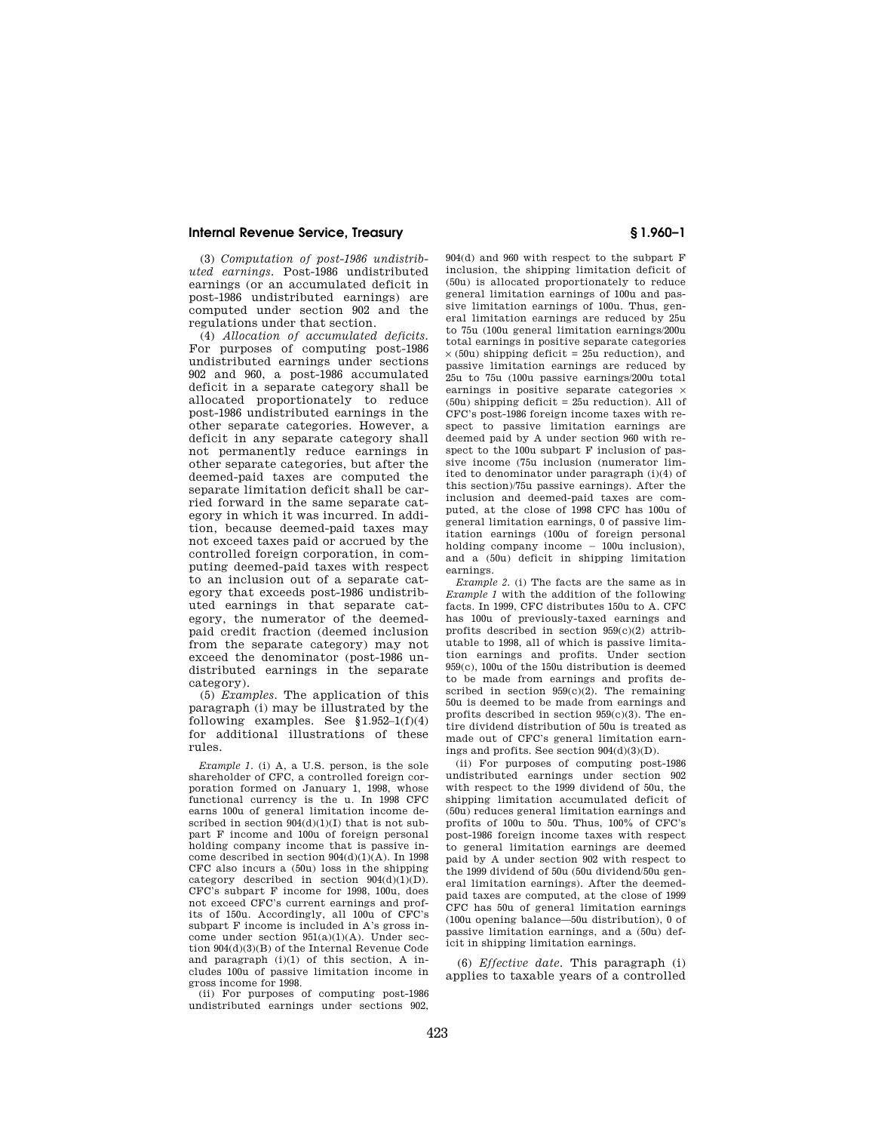(3) *Computation of post-1986 undistributed earnings.* Post-1986 undistributed earnings (or an accumulated deficit in post-1986 undistributed earnings) are computed under section 902 and the regulations under that section.

(4) *Allocation of accumulated deficits.*  For purposes of computing post-1986 undistributed earnings under sections 902 and 960, a post-1986 accumulated deficit in a separate category shall be allocated proportionately to reduce post-1986 undistributed earnings in the other separate categories. However, a deficit in any separate category shall not permanently reduce earnings in other separate categories, but after the deemed-paid taxes are computed the separate limitation deficit shall be carried forward in the same separate category in which it was incurred. In addition, because deemed-paid taxes may not exceed taxes paid or accrued by the controlled foreign corporation, in computing deemed-paid taxes with respect to an inclusion out of a separate category that exceeds post-1986 undistributed earnings in that separate category, the numerator of the deemedpaid credit fraction (deemed inclusion from the separate category) may not exceed the denominator (post-1986 undistributed earnings in the separate category).

(5) *Examples.* The application of this paragraph (i) may be illustrated by the following examples. See  $$1.952-1(f)(4)$ for additional illustrations of these rules.

*Example 1.* (i) A, a U.S. person, is the sole shareholder of CFC, a controlled foreign corporation formed on January 1, 1998, whose functional currency is the u. In 1998 CFC earns 100u of general limitation income described in section  $904(d)(1)(I)$  that is not subpart F income and 100u of foreign personal holding company income that is passive income described in section  $904(d)(1)(A)$ . In 1998 CFC also incurs a (50u) loss in the shipping category described in section  $904(d)(1)(D)$ . CFC's subpart F income for 1998, 100u, does not exceed CFC's current earnings and profits of 150u. Accordingly, all 100u of CFC's subpart F income is included in A's gross income under section  $951(a)(1)(A)$ . Under section 904(d)(3)(B) of the Internal Revenue Code and paragraph (i)(1) of this section, A includes 100u of passive limitation income in gross income for 1998.

(ii) For purposes of computing post-1986 undistributed earnings under sections 902, 904(d) and 960 with respect to the subpart F inclusion, the shipping limitation deficit of (50u) is allocated proportionately to reduce general limitation earnings of 100u and passive limitation earnings of 100u. Thus, general limitation earnings are reduced by 25u to 75u (100u general limitation earnings/200u total earnings in positive separate categories  $\times$  (50u) shipping deficit = 25u reduction), and passive limitation earnings are reduced by 25u to 75u (100u passive earnings/200u total earnings in positive separate categories × (50u) shipping deficit = 25u reduction). All of CFC's post-1986 foreign income taxes with respect to passive limitation earnings are deemed paid by A under section 960 with respect to the 100u subpart F inclusion of passive income (75u inclusion (numerator limited to denominator under paragraph (i)(4) of this section)/75u passive earnings). After the inclusion and deemed-paid taxes are computed, at the close of 1998 CFC has 100u of general limitation earnings, 0 of passive limitation earnings (100u of foreign personal holding company income  $-100u$  inclusion), and a (50u) deficit in shipping limitation earnings.

*Example 2.* (i) The facts are the same as in *Example 1* with the addition of the following facts. In 1999, CFC distributes 150u to A. CFC has 100u of previously-taxed earnings and profits described in section 959(c)(2) attributable to 1998, all of which is passive limitation earnings and profits. Under section 959(c), 100u of the 150u distribution is deemed to be made from earnings and profits described in section  $959(c)(2)$ . The remaining 50u is deemed to be made from earnings and profits described in section 959(c)(3). The entire dividend distribution of 50u is treated as made out of CFC's general limitation earnings and profits. See section 904(d)(3)(D).

(ii) For purposes of computing post-1986 undistributed earnings under section 902 with respect to the 1999 dividend of 50u, the shipping limitation accumulated deficit of (50u) reduces general limitation earnings and profits of 100u to 50u. Thus, 100% of CFC's post-1986 foreign income taxes with respect to general limitation earnings are deemed paid by A under section 902 with respect to the 1999 dividend of 50u (50u dividend/50u general limitation earnings). After the deemedpaid taxes are computed, at the close of 1999 CFC has 50u of general limitation earnings (100u opening balance—50u distribution), 0 of passive limitation earnings, and a (50u) deficit in shipping limitation earnings.

(6) *Effective date.* This paragraph (i) applies to taxable years of a controlled